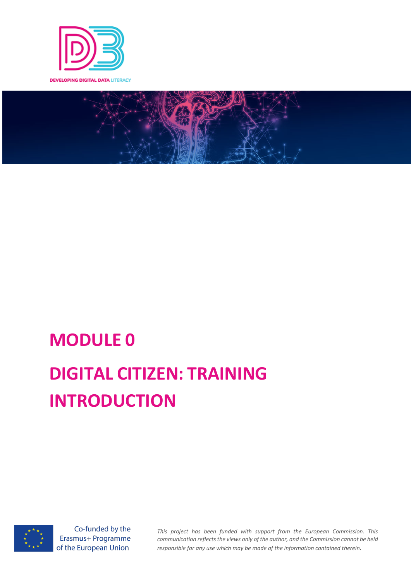



# **MODULE 0 DIGITAL CITIZEN: TRAINING INTRODUCTION**



Co-funded by the Erasmus+ Programme of the European Union

*This project has been funded with support from the European Commission. This communication reflects the views only of the author, and the Commission cannot be held responsible for any use which may be made of the information contained therein.*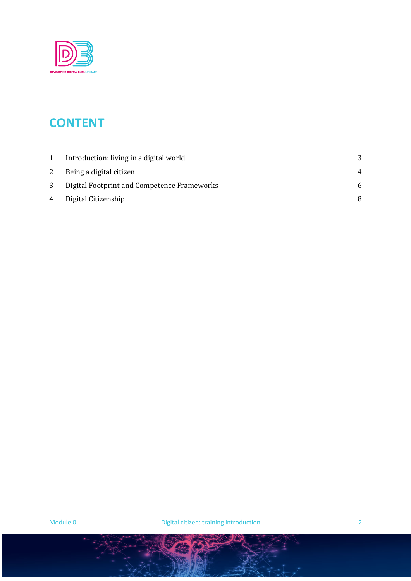

# **CONTENT**

|   | Introduction: living in a digital world     |  |
|---|---------------------------------------------|--|
| 2 | Being a digital citizen                     |  |
|   | Digital Footprint and Competence Frameworks |  |
|   | 4 Digital Citizenship                       |  |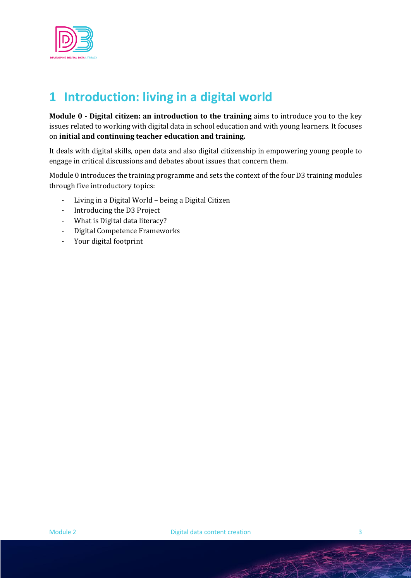

# **1 Introduction: living in a digital world**

**Module 0 - Digital citizen: an introduction to the training** aims to introduce you to the key issues related to working with digital data in school education and with young learners. It focuses on initial and continuing teacher education and training.

It deals with digital skills, open data and also digital citizenship in empowering young people to engage in critical discussions and debates about issues that concern them.

Module 0 introduces the training programme and sets the context of the four D3 training modules through five introductory topics:

- Living in a Digital World being a Digital Citizen
- Introducing the D3 Project
- What is Digital data literacy?
- Digital Competence Frameworks
- Your digital footprint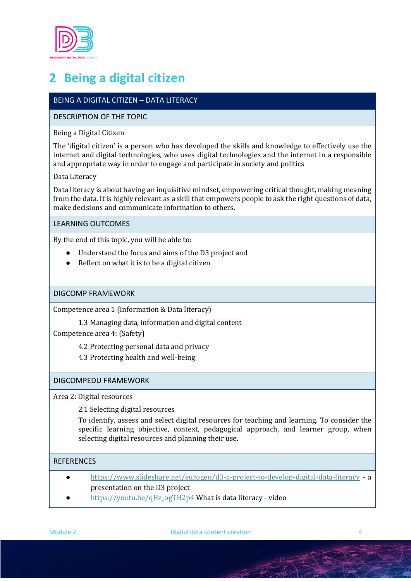

# **2 Being a digital citizen**

# BEING A DIGITAL CITIZEN – DATA LITERACY

# DESCRIPTION OF THE TOPIC

### Being a Digital Citizen

The 'digital citizen' is a person who has developed the skills and knowledge to effectively use the internet and digital technologies, who uses digital technologies and the internet in a responsible and appropriate way in order to engage and participate in society and politics

# Data Literacy

Data literacy is about having an inquisitive mindset, empowering critical thought, making meaning from the data. It is highly relevant as a skill that empowers people to ask the right questions of data, make decisions and communicate information to others.

### LEARNING OUTCOMES

By the end of this topic, you will be able to:

- Understand the focus and aims of the D3 project and
- $\bullet$  Reflect on what it is to be a digital citizen

# DIGCOMP FRAMEWORK

Competence area 1 (Information & Data literacy)

1.3 Managing data, information and digital content

Competence area 4: (Safety)

4.2 Protecting personal data and privacy

4.3 Protecting health and well-being

#### DIGCOMPEDU FRAMEWORK

Area 2: Digital resources

2.1 Selecting digital resources

To identify, assess and select digital resources for teaching and learning. To consider the specific learning objective, context, pedagogical approach, and learner group, when selecting digital resources and planning their use.

# **REFERENCES**

- https://www.slideshare.net/eurogeo/d3-a-project-to-develop-digital-data-literacy a presentation on the D3 project
- https://youtu.be/qHz\_ogTH2p4 What is data literacy video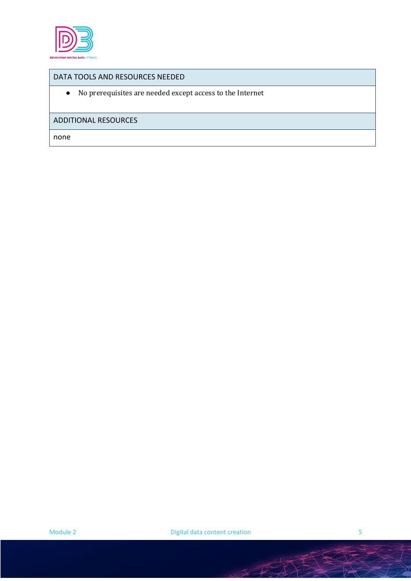

### DATA TOOLS AND RESOURCES NEEDED

 $\bullet$  – No prerequisites are needed except access to the Internet

# ADDITIONAL RESOURCES

none

SA TAN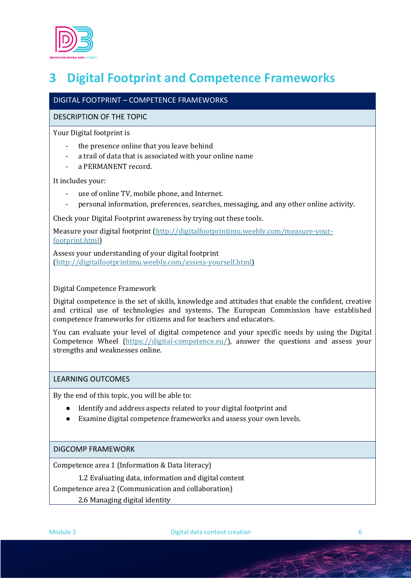

# **3 Digital Footprint and Competence Frameworks**

# DIGITAL FOOTPRINT – COMPETENCE FRAMEWORKS

# DESCRIPTION OF THE TOPIC

Your Digital footprint is

- the presence online that you leave behind
- a trail of data that is associated with your online name
- a PERMANENT record.

It includes your:

- use of online TV, mobile phone, and Internet.
- personal information, preferences, searches, messaging, and any other online activity.

Check your Digital Footprint awareness by trying out these tools.

Measure your digital footprint (http://digitalfootprintimu.weebly.com/measure-yourfootprint.html)

Assess your understanding of your digital footprint (http://digitalfootprintimu.weebly.com/assess-yourself.html) 

Digital Competence Framework

Digital competence is the set of skills, knowledge and attitudes that enable the confident, creative and critical use of technologies and systems. The European Commission have established competence frameworks for citizens and for teachers and educators.

You can evaluate your level of digital competence and your specific needs by using the Digital Competence Wheel (https://digital-competence.eu/), answer the questions and assess your strengths and weaknesses online.

#### LEARNING OUTCOMES

By the end of this topic, you will be able to:

- Identify and address aspects related to your digital footprint and
- Examine digital competence frameworks and assess your own levels.

DIGCOMP FRAMEWORK

Competence area 1 (Information & Data literacy)

1.2 Evaluating data, information and digital content

Competence area 2 (Communication and collaboration)

2.6 Managing digital identity

Module 2 **Digital data content creation** 6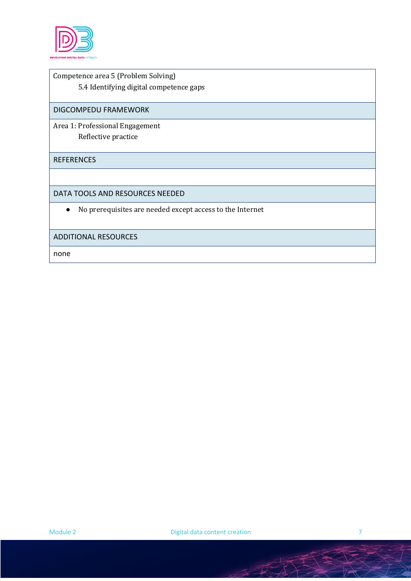

Competence area 5 (Problem Solving) 5.4 Identifying digital competence gaps

DIGCOMPEDU FRAMEWORK

Area 1: Professional Engagement Reflective practice

REFERENCES

DATA TOOLS AND RESOURCES NEEDED

• No prerequisites are needed except access to the Internet

#### ADDITIONAL RESOURCES

none

T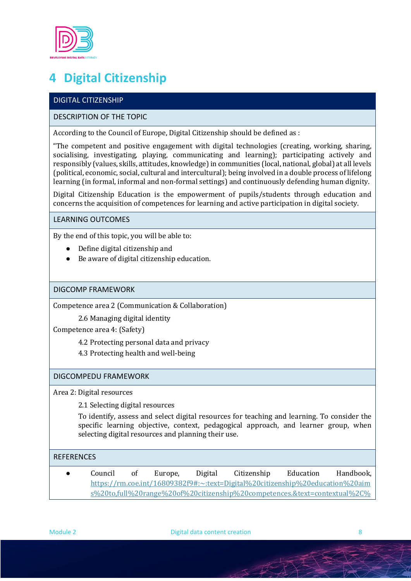

# **4 Digital Citizenship**

# DIGITAL CITIZENSHIP

# DESCRIPTION OF THE TOPIC

According to the Council of Europe, Digital Citizenship should be defined as :

"The competent and positive engagement with digital technologies (creating, working, sharing, socialising, investigating, playing, communicating and learning); participating actively and responsibly (values, skills, attitudes, knowledge) in communities (local, national, global) at all levels (political, economic, social, cultural and intercultural); being involved in a double process of lifelong learning (in formal, informal and non-formal settings) and continuously defending human dignity.

Digital Citizenship Education is the empowerment of pupils/students through education and concerns the acquisition of competences for learning and active participation in digital society.

LEARNING OUTCOMES

By the end of this topic, you will be able to:

- Define digital citizenship and
- $\bullet$  Be aware of digital citizenship education.

#### DIGCOMP FRAMEWORK

Competence area 2 (Communication & Collaboration)

2.6 Managing digital identity

Competence area 4: (Safety)

4.2 Protecting personal data and privacy

4.3 Protecting health and well-being

# DIGCOMPEDU FRAMEWORK

Area 2: Digital resources

2.1 Selecting digital resources

To identify, assess and select digital resources for teaching and learning. To consider the specific learning objective, context, pedagogical approach, and learner group, when selecting digital resources and planning their use.

#### **REFERENCES**

● Council of Europe, Digital Citizenship Education Handbook, https://rm.coe.int/16809382f9#:~:text=Digital%20citizenship%20education%20aim s%20to,full%20range%20of%20citizenship%20competences.&text=contextual%2C%